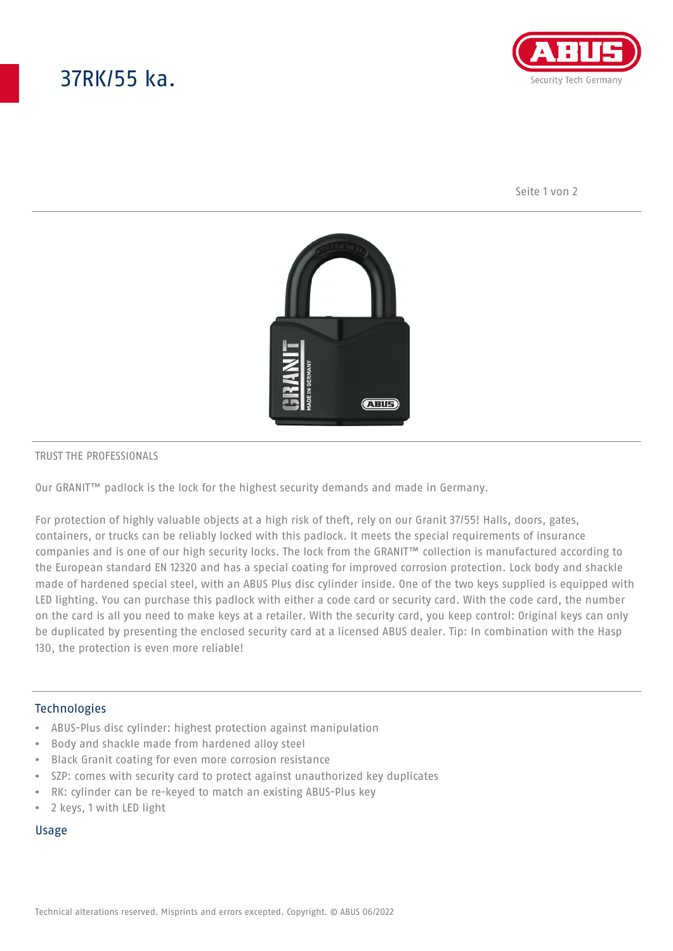# 37RK/55 ka.



Seite 1 von 2



#### TRUST THE PROFESSIONALS

Our GRANIT™ padlock is the lock for the highest security demands and made in Germany.

For protection of highly valuable objects at a high risk of theft, rely on our Granit 37/55! Halls, doors, gates, containers, or trucks can be reliably locked with this padlock. It meets the special requirements of insurance companies and is one of our high security locks. The lock from the GRANIT™ collection is manufactured according to the European standard EN 12320 and has a special coating for improved corrosion protection. Lock body and shackle made of hardened special steel, with an ABUS Plus disc cylinder inside. One of the two keys supplied is equipped with LED lighting. You can purchase this padlock with either a code card or security card. With the code card, the number on the card is all you need to make keys at a retailer. With the security card, you keep control: Original keys can only be duplicated by presenting the enclosed security card at a licensed ABUS dealer. Tip: In combination with the Hasp 130, the protection is even more reliable!

## Technologies

- ABUS-Plus disc cylinder: highest protection against manipulation
- Body and shackle made from hardened alloy steel
- Black Granit coating for even more corrosion resistance
- SZP: comes with security card to protect against unauthorized key duplicates
- RK: cylinder can be re-keyed to match an existing ABUS-Plus key
- 2 keys, 1 with LED light

### Usage